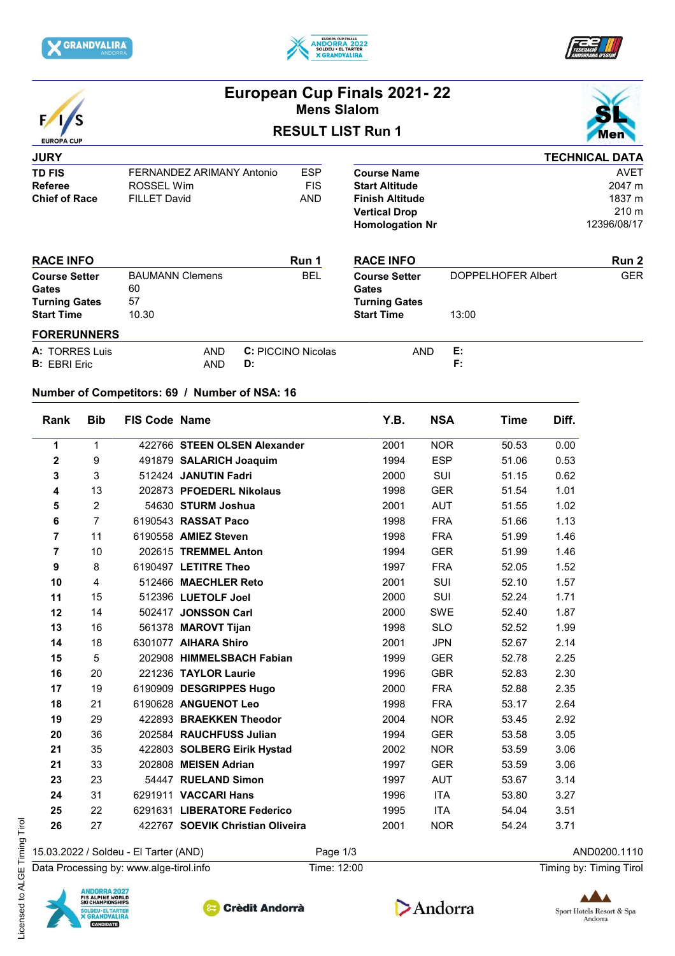





**TECHNICAL DATA**



**JURY**

## **European Cup Finals 2021- 22 Mens Slalom**



## **RESULT LIST Run 1**

| <b>TD FIS</b><br>Referee                              | FERNANDEZ ARIMANY Antonio<br>ROSSEL Wim | <b>ESP</b><br><b>FIS</b>  | <b>Course Name</b><br><b>Start Altitude</b>                              |                    | AVET<br>2047 m                           |
|-------------------------------------------------------|-----------------------------------------|---------------------------|--------------------------------------------------------------------------|--------------------|------------------------------------------|
| <b>Chief of Race</b>                                  | <b>FILLET David</b>                     | <b>AND</b>                | <b>Finish Altitude</b><br><b>Vertical Drop</b><br><b>Homologation Nr</b> |                    | 1837 m<br>$210 \text{ m}$<br>12396/08/17 |
| <b>RACE INFO</b>                                      |                                         | Run 1                     | <b>RACE INFO</b>                                                         |                    | Run 2                                    |
| <b>Course Setter</b><br>Gates<br><b>Turning Gates</b> | <b>BAUMANN Clemens</b><br>60<br>57      | <b>BEL</b>                | <b>Course Setter</b><br><b>Gates</b><br><b>Turning Gates</b>             | DOPPELHOFER Albert | <b>GER</b>                               |
| <b>Start Time</b><br><b>FORERUNNERS</b>               | 10.30                                   |                           | <b>Start Time</b>                                                        | 13:00              |                                          |
| <b>A: TORRES Luis</b>                                 | <b>AND</b>                              | <b>C:</b> PICCINO Nicolas | <b>AND</b>                                                               | Е.                 |                                          |
| <b>B:</b> EBRI Eric                                   | <b>AND</b>                              | D:                        |                                                                          | F:                 |                                          |

## **Number of Competitors: 69 / Number of NSA: 16**

| Rank           | <b>Bib</b>     | <b>FIS Code Name</b>                  |                                  |          | Y.B. | <b>NSA</b> | Time  | Diff.        |
|----------------|----------------|---------------------------------------|----------------------------------|----------|------|------------|-------|--------------|
| 1              | $\mathbf{1}$   |                                       | 422766 STEEN OLSEN Alexander     |          | 2001 | <b>NOR</b> | 50.53 | 0.00         |
| 2              | 9              |                                       | 491879 SALARICH Joaquim          |          | 1994 | <b>ESP</b> | 51.06 | 0.53         |
| 3              | 3              |                                       | 512424 JANUTIN Fadri             |          | 2000 | SUI        | 51.15 | 0.62         |
| 4              | 13             |                                       | 202873 PFOEDERL Nikolaus         |          | 1998 | <b>GER</b> | 51.54 | 1.01         |
| 5              | $\overline{2}$ |                                       | 54630 STURM Joshua               |          | 2001 | <b>AUT</b> | 51.55 | 1.02         |
| 6              | $\overline{7}$ |                                       | 6190543 RASSAT Paco              |          | 1998 | <b>FRA</b> | 51.66 | 1.13         |
| $\overline{7}$ | 11             |                                       | 6190558 AMIEZ Steven             |          | 1998 | <b>FRA</b> | 51.99 | 1.46         |
| 7              | 10             |                                       | 202615 TREMMEL Anton             |          | 1994 | <b>GER</b> | 51.99 | 1.46         |
| 9              | 8              |                                       | 6190497 LETITRE Theo             |          | 1997 | <b>FRA</b> | 52.05 | 1.52         |
| 10             | 4              |                                       | 512466 MAECHLER Reto             |          | 2001 | SUI        | 52.10 | 1.57         |
| 11             | 15             |                                       | 512396 LUETOLF Joel              |          | 2000 | SUI        | 52.24 | 1.71         |
| 12             | 14             |                                       | 502417 JONSSON Carl              |          | 2000 | SWE        | 52.40 | 1.87         |
| 13             | 16             |                                       | 561378 MAROVT Tijan              |          | 1998 | <b>SLO</b> | 52.52 | 1.99         |
| 14             | 18             |                                       | 6301077 AIHARA Shiro             |          | 2001 | <b>JPN</b> | 52.67 | 2.14         |
| 15             | 5              |                                       | 202908 HIMMELSBACH Fabian        |          | 1999 | <b>GER</b> | 52.78 | 2.25         |
| 16             | 20             |                                       | 221236 TAYLOR Laurie             |          | 1996 | <b>GBR</b> | 52.83 | 2.30         |
| 17             | 19             |                                       | 6190909 DESGRIPPES Hugo          |          | 2000 | <b>FRA</b> | 52.88 | 2.35         |
| 18             | 21             |                                       | 6190628 ANGUENOT Leo             |          | 1998 | <b>FRA</b> | 53.17 | 2.64         |
| 19             | 29             |                                       | 422893 BRAEKKEN Theodor          |          | 2004 | <b>NOR</b> | 53.45 | 2.92         |
| 20             | 36             |                                       | 202584 RAUCHFUSS Julian          |          | 1994 | <b>GER</b> | 53.58 | 3.05         |
| 21             | 35             |                                       | 422803 SOLBERG Eirik Hystad      |          | 2002 | <b>NOR</b> | 53.59 | 3.06         |
| 21             | 33             |                                       | 202808 MEISEN Adrian             |          | 1997 | <b>GER</b> | 53.59 | 3.06         |
| 23             | 23             |                                       | 54447 RUELAND Simon              |          | 1997 | AUT        | 53.67 | 3.14         |
| 24             | 31             |                                       | 6291911 VACCARI Hans             |          | 1996 | <b>ITA</b> | 53.80 | 3.27         |
| 25             | 22             |                                       | 6291631 LIBERATORE Federico      |          | 1995 | <b>ITA</b> | 54.04 | 3.51         |
| 26             | 27             |                                       | 422767 SOEVIK Christian Oliveira |          | 2001 | <b>NOR</b> | 54.24 | 3.71         |
|                |                | 15.03.2022 / Soldeu - El Tarter (AND) |                                  | Page 1/3 |      |            |       | AND0200.1110 |









Sport Hotels Resort & Spa Andorra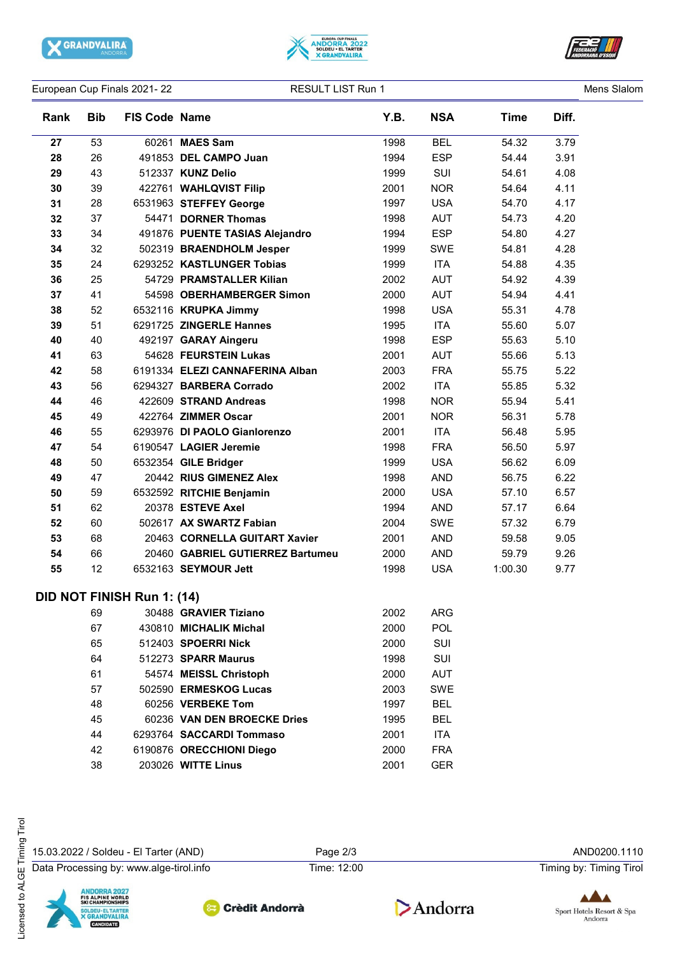

 $\overline{a}$ 





European Cup Finals 2021-22 **RESULT LIST Run 1** Curopean Cup Finals 2021-22

| <b>Rank</b>                       | <b>Bib</b> | <b>FIS Code Name</b> |                                  | Y.B. | <b>NSA</b> | <b>Time</b> | Diff. |  |  |
|-----------------------------------|------------|----------------------|----------------------------------|------|------------|-------------|-------|--|--|
| 27                                | 53         |                      | 60261 MAES Sam                   | 1998 | <b>BEL</b> | 54.32       | 3.79  |  |  |
| 28                                | 26         |                      | 491853 DEL CAMPO Juan            | 1994 | <b>ESP</b> | 54.44       | 3.91  |  |  |
| 29                                | 43         |                      | 512337 KUNZ Delio                | 1999 | SUI        | 54.61       | 4.08  |  |  |
| 30                                | 39         |                      | 422761 WAHLQVIST Filip           | 2001 | <b>NOR</b> | 54.64       | 4.11  |  |  |
| 31                                | 28         |                      | 6531963 STEFFEY George           | 1997 | <b>USA</b> | 54.70       | 4.17  |  |  |
| 32                                | 37         |                      | 54471 DORNER Thomas              | 1998 | <b>AUT</b> | 54.73       | 4.20  |  |  |
| 33                                | 34         |                      | 491876 PUENTE TASIAS Alejandro   | 1994 | <b>ESP</b> | 54.80       | 4.27  |  |  |
| 34                                | 32         |                      | 502319 BRAENDHOLM Jesper         | 1999 | <b>SWE</b> | 54.81       | 4.28  |  |  |
| 35                                | 24         |                      | 6293252 KASTLUNGER Tobias        | 1999 | <b>ITA</b> | 54.88       | 4.35  |  |  |
| 36                                | 25         |                      | 54729 PRAMSTALLER Kilian         | 2002 | <b>AUT</b> | 54.92       | 4.39  |  |  |
| 37                                | 41         |                      | 54598 OBERHAMBERGER Simon        | 2000 | <b>AUT</b> | 54.94       | 4.41  |  |  |
| 38                                | 52         |                      | 6532116 KRUPKA Jimmy             | 1998 | <b>USA</b> | 55.31       | 4.78  |  |  |
| 39                                | 51         |                      | 6291725 ZINGERLE Hannes          | 1995 | <b>ITA</b> | 55.60       | 5.07  |  |  |
| 40                                | 40         |                      | 492197 GARAY Aingeru             | 1998 | <b>ESP</b> | 55.63       | 5.10  |  |  |
| 41                                | 63         |                      | 54628 FEURSTEIN Lukas            | 2001 | <b>AUT</b> | 55.66       | 5.13  |  |  |
| 42                                | 58         |                      | 6191334 ELEZI CANNAFERINA Alban  | 2003 | <b>FRA</b> | 55.75       | 5.22  |  |  |
| 43                                | 56         |                      | 6294327 BARBERA Corrado          | 2002 | <b>ITA</b> | 55.85       | 5.32  |  |  |
| 44                                | 46         |                      | 422609 STRAND Andreas            | 1998 | <b>NOR</b> | 55.94       | 5.41  |  |  |
| 45                                | 49         |                      | 422764 ZIMMER Oscar              | 2001 | <b>NOR</b> | 56.31       | 5.78  |  |  |
| 46                                | 55         |                      | 6293976 DI PAOLO Gianlorenzo     | 2001 | <b>ITA</b> | 56.48       | 5.95  |  |  |
| 47                                | 54         |                      | 6190547 LAGIER Jeremie           | 1998 | <b>FRA</b> | 56.50       | 5.97  |  |  |
| 48                                | 50         |                      | 6532354 GILE Bridger             | 1999 | <b>USA</b> | 56.62       | 6.09  |  |  |
| 49                                | 47         |                      | 20442 RIUS GIMENEZ Alex          | 1998 | <b>AND</b> | 56.75       | 6.22  |  |  |
| 50                                | 59         |                      | 6532592 RITCHIE Benjamin         | 2000 | <b>USA</b> | 57.10       | 6.57  |  |  |
| 51                                | 62         |                      | 20378 ESTEVE Axel                | 1994 | <b>AND</b> | 57.17       | 6.64  |  |  |
| 52                                | 60         |                      | 502617 AX SWARTZ Fabian          | 2004 | <b>SWE</b> | 57.32       | 6.79  |  |  |
| 53                                | 68         |                      | 20463 CORNELLA GUITART Xavier    | 2001 | <b>AND</b> | 59.58       | 9.05  |  |  |
| 54                                | 66         |                      | 20460 GABRIEL GUTIERREZ Bartumeu | 2000 | <b>AND</b> | 59.79       | 9.26  |  |  |
| 55                                | 12         |                      | 6532163 SEYMOUR Jett             | 1998 | <b>USA</b> | 1:00.30     | 9.77  |  |  |
| <b>DID NOT FINISH Run 1: (14)</b> |            |                      |                                  |      |            |             |       |  |  |
|                                   | 69         |                      | 30488 GRAVIER Tiziano            | 2002 | ARG        |             |       |  |  |
|                                   | 67         |                      | 430810 MICHALIK Michal           | 2000 | <b>POL</b> |             |       |  |  |
|                                   | 65         |                      | 512403 SPOERRI Nick              | 2000 | SUI        |             |       |  |  |
|                                   | 64         |                      | 512273 SPARR Maurus              | 1998 | SUI        |             |       |  |  |
|                                   | 61         |                      | 54574 MEISSL Christoph           | 2000 | <b>AUT</b> |             |       |  |  |
|                                   | 57         |                      | 502590 ERMESKOG Lucas            | 2003 | <b>SWE</b> |             |       |  |  |
|                                   | 48         |                      | 60256 VERBEKE Tom                | 1997 | <b>BEL</b> |             |       |  |  |
|                                   | 45         |                      | 60236 VAN DEN BROECKE Dries      | 1995 | <b>BEL</b> |             |       |  |  |
|                                   | 44         |                      | 6293764 SACCARDI Tommaso         | 2001 | <b>ITA</b> |             |       |  |  |
|                                   | 42         |                      | 6190876 ORECCHIONI Diego         | 2000 | <b>FRA</b> |             |       |  |  |
|                                   | 38         |                      | 203026 WITTE Linus               | 2001 | <b>GER</b> |             |       |  |  |

15.03.2022 / Soldeu - El Tarter (AND) Page 2/3 AND0200.1110

Data Processing by: www.alge-tirol.info Time: 12:00 Time: 12:00 Timing by: Timing by: Timing Tirol